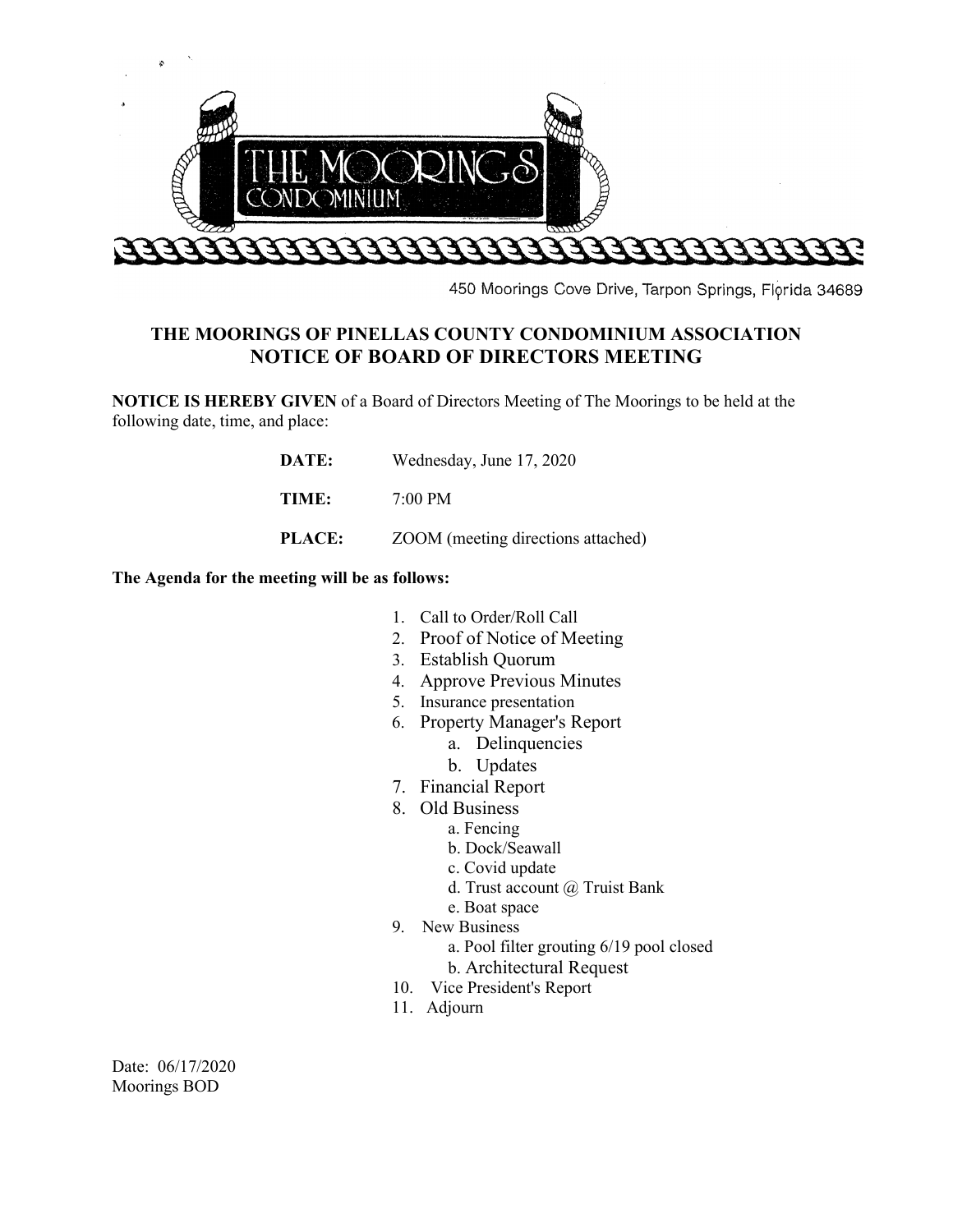

450 Moorings Cove Drive, Tarpon Springs, Florida 34689

## **THE MOORINGS OF PINELLAS COUNTY CONDOMINIUM ASSOCIATION NOTICE OF BOARD OF DIRECTORS MEETING**

**NOTICE IS HEREBY GIVEN** of a Board of Directors Meeting of The Moorings to be held at the following date, time, and place:

| DATE:         | Wednesday, June 17, 2020           |
|---------------|------------------------------------|
| TIME:         | $7:00 \text{ PM}$                  |
| <b>PLACE:</b> | ZOOM (meeting directions attached) |

**The Agenda for the meeting will be as follows:**

- 1. Call to Order/Roll Call
- 2. Proof of Notice of Meeting
- 3. Establish Quorum
- 4. Approve Previous Minutes
- 5. Insurance presentation
- 6. Property Manager's Report
	- a. Delinquencies
	- b. Updates
- 7. Financial Report
- 8. Old Business
	- a. Fencing
	- b. Dock/Seawall
	- c. Covid update
	- d. Trust account @ Truist Bank
	- e. Boat space
- 9. New Business
	- a. Pool filter grouting 6/19 pool closed
	- b. Architectural Request
- 10. Vice President's Report
- 11. Adjourn

Date: 06/17/2020 Moorings BOD